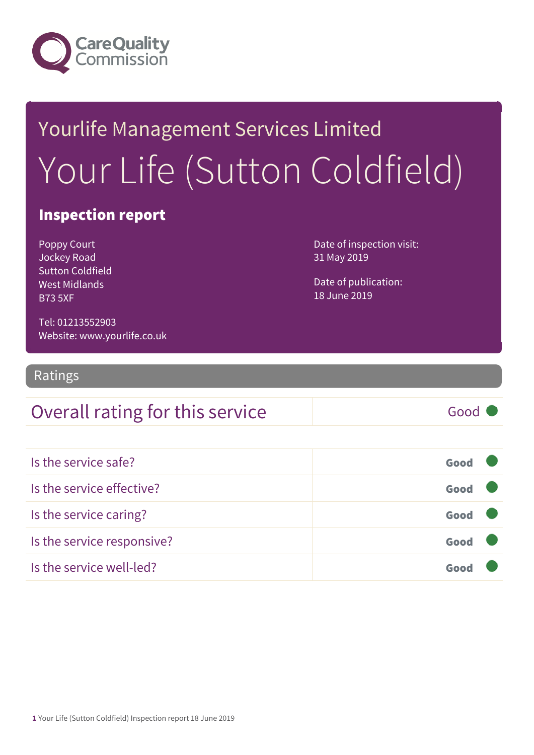

## Yourlife Management Services Limited Your Life (Sutton Coldfield)

#### Inspection report

Poppy Court Jockey Road Sutton Coldfield West Midlands B73 5XF

Date of inspection visit: 31 May 2019

Date of publication: 18 June 2019

Tel: 01213552903 Website: www.yourlife.co.uk

Ratings

### Overall rating for this service Fig. 6000

| Is the service safe?       | Good |  |
|----------------------------|------|--|
| Is the service effective?  | Good |  |
| Is the service caring?     | Good |  |
| Is the service responsive? | Good |  |
| Is the service well-led?   | Goor |  |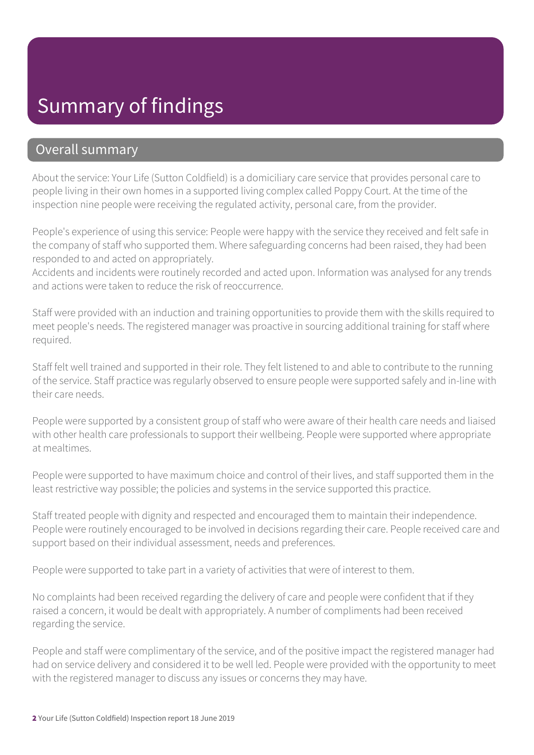### Summary of findings

#### Overall summary

About the service: Your Life (Sutton Coldfield) is a domiciliary care service that provides personal care to people living in their own homes in a supported living complex called Poppy Court. At the time of the inspection nine people were receiving the regulated activity, personal care, from the provider.

People's experience of using this service: People were happy with the service they received and felt safe in the company of staff who supported them. Where safeguarding concerns had been raised, they had been responded to and acted on appropriately.

Accidents and incidents were routinely recorded and acted upon. Information was analysed for any trends and actions were taken to reduce the risk of reoccurrence.

Staff were provided with an induction and training opportunities to provide them with the skills required to meet people's needs. The registered manager was proactive in sourcing additional training for staff where required.

Staff felt well trained and supported in their role. They felt listened to and able to contribute to the running of the service. Staff practice was regularly observed to ensure people were supported safely and in-line with their care needs.

People were supported by a consistent group of staff who were aware of their health care needs and liaised with other health care professionals to support their wellbeing. People were supported where appropriate at mealtimes.

People were supported to have maximum choice and control of their lives, and staff supported them in the least restrictive way possible; the policies and systems in the service supported this practice.

Staff treated people with dignity and respected and encouraged them to maintain their independence. People were routinely encouraged to be involved in decisions regarding their care. People received care and support based on their individual assessment, needs and preferences.

People were supported to take part in a variety of activities that were of interest to them.

No complaints had been received regarding the delivery of care and people were confident that if they raised a concern, it would be dealt with appropriately. A number of compliments had been received regarding the service.

People and staff were complimentary of the service, and of the positive impact the registered manager had had on service delivery and considered it to be well led. People were provided with the opportunity to meet with the registered manager to discuss any issues or concerns they may have.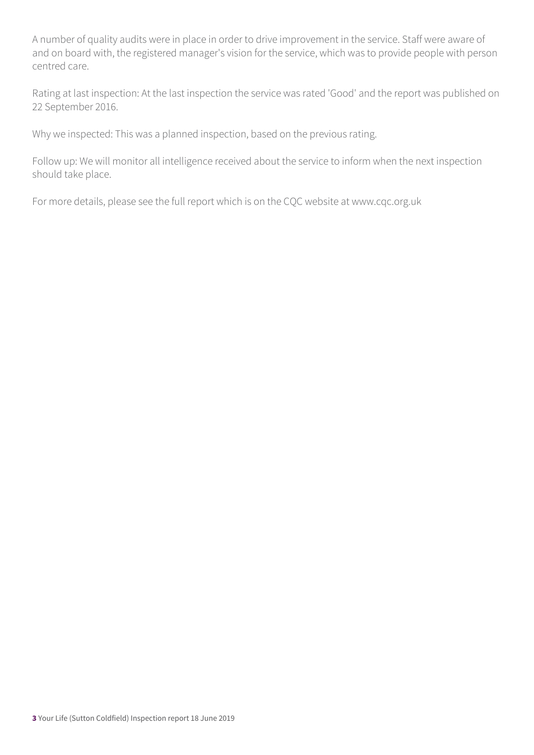A number of quality audits were in place in order to drive improvement in the service. Staff were aware of and on board with, the registered manager's vision for the service, which was to provide people with person centred care.

Rating at last inspection: At the last inspection the service was rated 'Good' and the report was published on 22 September 2016.

Why we inspected: This was a planned inspection, based on the previous rating.

Follow up: We will monitor all intelligence received about the service to inform when the next inspection should take place.

For more details, please see the full report which is on the CQC website at www.cqc.org.uk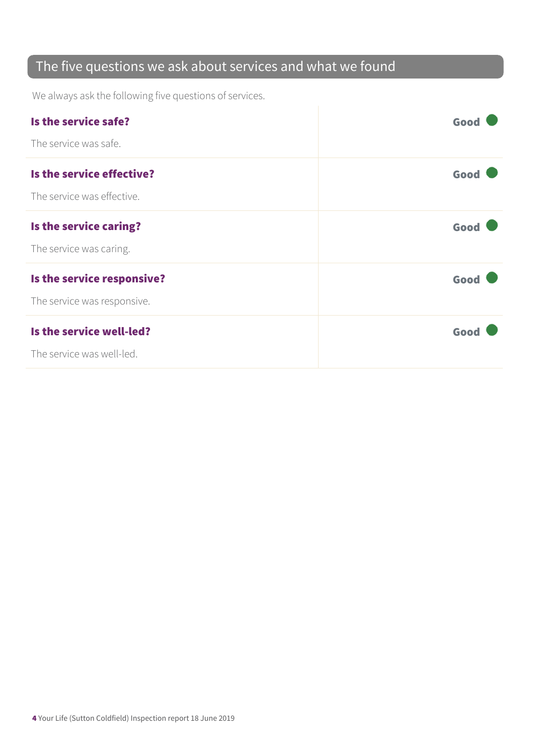### The five questions we ask about services and what we found

We always ask the following five questions of services.

| Is the service safe?        | Good |
|-----------------------------|------|
| The service was safe.       |      |
| Is the service effective?   | Good |
| The service was effective.  |      |
| Is the service caring?      | Good |
| The service was caring.     |      |
| Is the service responsive?  | Good |
| The service was responsive. |      |
| Is the service well-led?    | Good |
| The service was well-led.   |      |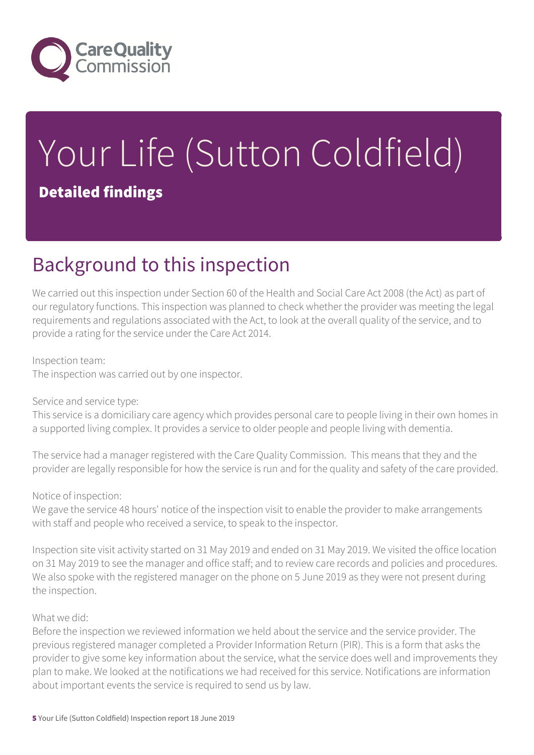

# Your Life (Sutton Coldfield)

### Detailed findings

### Background to this inspection

We carried out this inspection under Section 60 of the Health and Social Care Act 2008 (the Act) as part of our regulatory functions. This inspection was planned to check whether the provider was meeting the legal requirements and regulations associated with the Act, to look at the overall quality of the service, and to provide a rating for the service under the Care Act 2014.

#### Inspection team:

The inspection was carried out by one inspector.

#### Service and service type:

This service is a domiciliary care agency which provides personal care to people living in their own homes in a supported living complex. It provides a service to older people and people living with dementia.

The service had a manager registered with the Care Quality Commission. This means that they and the provider are legally responsible for how the service is run and for the quality and safety of the care provided.

#### Notice of inspection:

We gave the service 48 hours' notice of the inspection visit to enable the provider to make arrangements with staff and people who received a service, to speak to the inspector.

Inspection site visit activity started on 31 May 2019 and ended on 31 May 2019. We visited the office location on 31 May 2019 to see the manager and office staff; and to review care records and policies and procedures. We also spoke with the registered manager on the phone on 5 June 2019 as they were not present during the inspection.

#### What we did:

Before the inspection we reviewed information we held about the service and the service provider. The previous registered manager completed a Provider Information Return (PIR). This is a form that asks the provider to give some key information about the service, what the service does well and improvements they plan to make. We looked at the notifications we had received for this service. Notifications are information about important events the service is required to send us by law.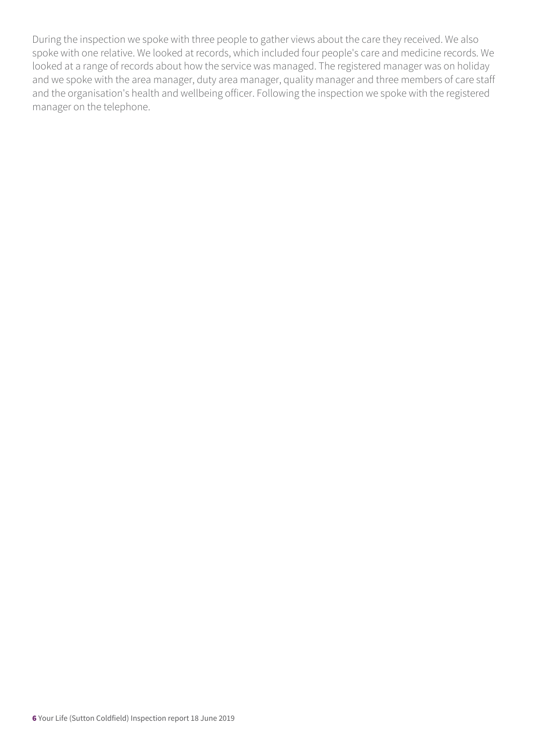During the inspection we spoke with three people to gather views about the care they received. We also spoke with one relative. We looked at records, which included four people's care and medicine records. We looked at a range of records about how the service was managed. The registered manager was on holiday and we spoke with the area manager, duty area manager, quality manager and three members of care staff and the organisation's health and wellbeing officer. Following the inspection we spoke with the registered manager on the telephone.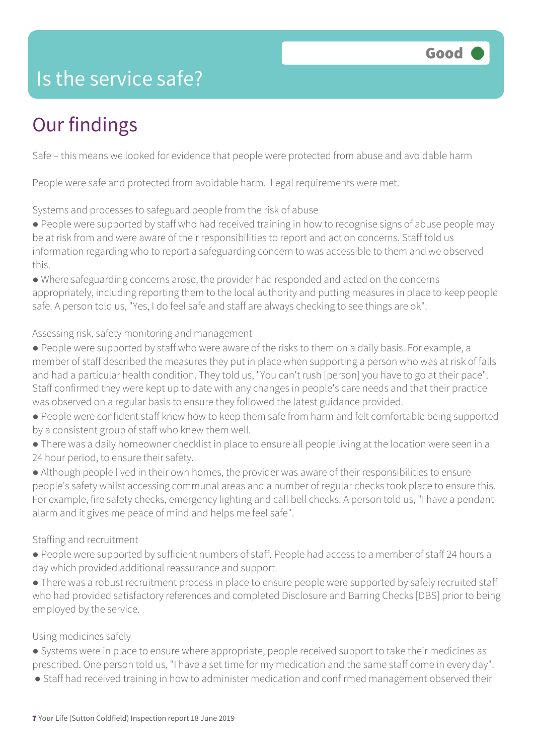### Is the service safe?

### Our findings

Safe – this means we looked for evidence that people were protected from abuse and avoidable harm

People were safe and protected from avoidable harm. Legal requirements were met.

Systems and processes to safeguard people from the risk of abuse

● People were supported by staff who had received training in how to recognise signs of abuse people may be at risk from and were aware of their responsibilities to report and act on concerns. Staff told us information regarding who to report a safeguarding concern to was accessible to them and we observed this.

● Where safeguarding concerns arose, the provider had responded and acted on the concerns appropriately, including reporting them to the local authority and putting measures in place to keep people safe. A person told us, "Yes, I do feel safe and staff are always checking to see things are ok".

#### Assessing risk, safety monitoring and management

- People were supported by staff who were aware of the risks to them on a daily basis. For example, a member of staff described the measures they put in place when supporting a person who was at risk of falls and had a particular health condition. They told us, "You can't rush [person] you have to go at their pace". Staff confirmed they were kept up to date with any changes in people's care needs and that their practice was observed on a regular basis to ensure they followed the latest guidance provided.
- People were confident staff knew how to keep them safe from harm and felt comfortable being supported by a consistent group of staff who knew them well.
- There was a daily homeowner checklist in place to ensure all people living at the location were seen in a 24 hour period, to ensure their safety.
- Although people lived in their own homes, the provider was aware of their responsibilities to ensure people's safety whilst accessing communal areas and a number of regular checks took place to ensure this. For example, fire safety checks, emergency lighting and call bell checks. A person told us, "I have a pendant alarm and it gives me peace of mind and helps me feel safe".

#### Staffing and recruitment

- People were supported by sufficient numbers of staff. People had access to a member of staff 24 hours a day which provided additional reassurance and support.
- There was a robust recruitment process in place to ensure people were supported by safely recruited staff who had provided satisfactory references and completed Disclosure and Barring Checks [DBS] prior to being employed by the service.

#### Using medicines safely

- Systems were in place to ensure where appropriate, people received support to take their medicines as prescribed. One person told us, "I have a set time for my medication and the same staff come in every day".
- Staff had received training in how to administer medication and confirmed management observed their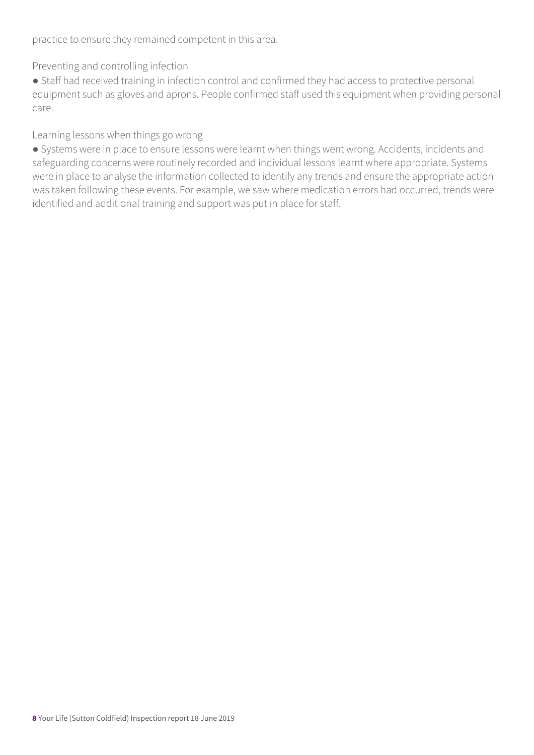practice to ensure they remained competent in this area.

Preventing and controlling infection

● Staff had received training in infection control and confirmed they had access to protective personal equipment such as gloves and aprons. People confirmed staff used this equipment when providing personal care.

Learning lessons when things go wrong

● Systems were in place to ensure lessons were learnt when things went wrong. Accidents, incidents and safeguarding concerns were routinely recorded and individual lessons learnt where appropriate. Systems were in place to analyse the information collected to identify any trends and ensure the appropriate action was taken following these events. For example, we saw where medication errors had occurred, trends were identified and additional training and support was put in place for staff.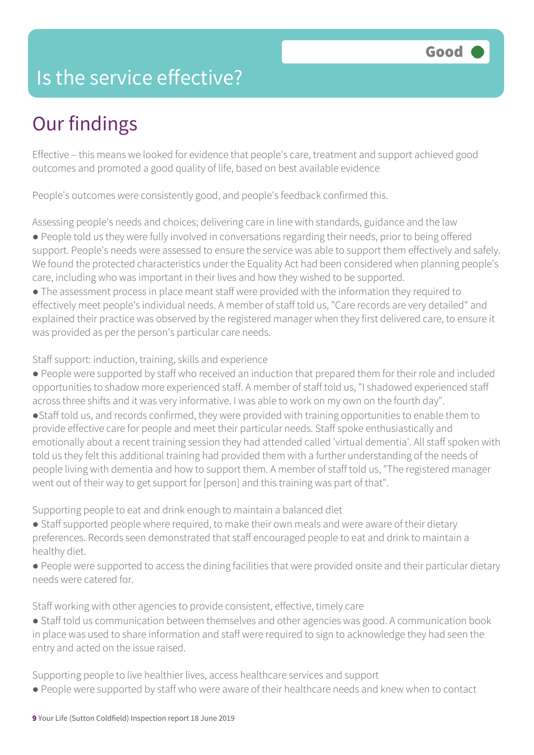### Is the service effective?

### Our findings

Effective – this means we looked for evidence that people's care, treatment and support achieved good outcomes and promoted a good quality of life, based on best available evidence

People's outcomes were consistently good, and people's feedback confirmed this.

Assessing people's needs and choices; delivering care in line with standards, guidance and the law ● People told us they were fully involved in conversations regarding their needs, prior to being offered support. People's needs were assessed to ensure the service was able to support them effectively and safely. We found the protected characteristics under the Equality Act had been considered when planning people's care, including who was important in their lives and how they wished to be supported.

● The assessment process in place meant staff were provided with the information they required to effectively meet people's individual needs. A member of staff told us, "Care records are very detailed" and explained their practice was observed by the registered manager when they first delivered care, to ensure it was provided as per the person's particular care needs.

Staff support: induction, training, skills and experience

● People were supported by staff who received an induction that prepared them for their role and included opportunities to shadow more experienced staff. A member of staff told us, "I shadowed experienced staff across three shifts and it was very informative. I was able to work on my own on the fourth day".

●Staff told us, and records confirmed, they were provided with training opportunities to enable them to provide effective care for people and meet their particular needs. Staff spoke enthusiastically and emotionally about a recent training session they had attended called 'virtual dementia'. All staff spoken with told us they felt this additional training had provided them with a further understanding of the needs of people living with dementia and how to support them. A member of staff told us, "The registered manager went out of their way to get support for [person] and this training was part of that".

Supporting people to eat and drink enough to maintain a balanced diet

- Staff supported people where required, to make their own meals and were aware of their dietary preferences. Records seen demonstrated that staff encouraged people to eat and drink to maintain a healthy diet.
- People were supported to access the dining facilities that were provided onsite and their particular dietary needs were catered for.

Staff working with other agencies to provide consistent, effective, timely care

● Staff told us communication between themselves and other agencies was good. A communication book in place was used to share information and staff were required to sign to acknowledge they had seen the entry and acted on the issue raised.

Supporting people to live healthier lives, access healthcare services and support

● People were supported by staff who were aware of their healthcare needs and knew when to contact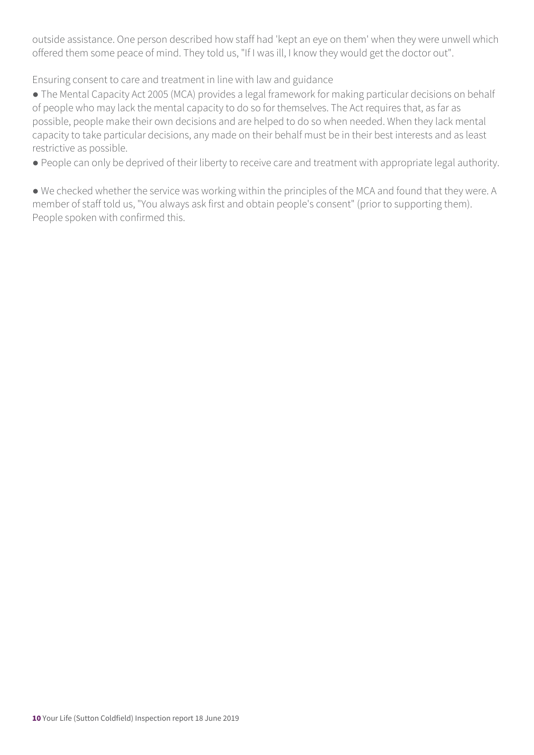outside assistance. One person described how staff had 'kept an eye on them' when they were unwell which offered them some peace of mind. They told us, "If I was ill, I know they would get the doctor out".

Ensuring consent to care and treatment in line with law and guidance

• The Mental Capacity Act 2005 (MCA) provides a legal framework for making particular decisions on behalf of people who may lack the mental capacity to do so for themselves. The Act requires that, as far as possible, people make their own decisions and are helped to do so when needed. When they lack mental capacity to take particular decisions, any made on their behalf must be in their best interests and as least restrictive as possible.

● People can only be deprived of their liberty to receive care and treatment with appropriate legal authority.

● We checked whether the service was working within the principles of the MCA and found that they were. A member of staff told us, "You always ask first and obtain people's consent" (prior to supporting them). People spoken with confirmed this.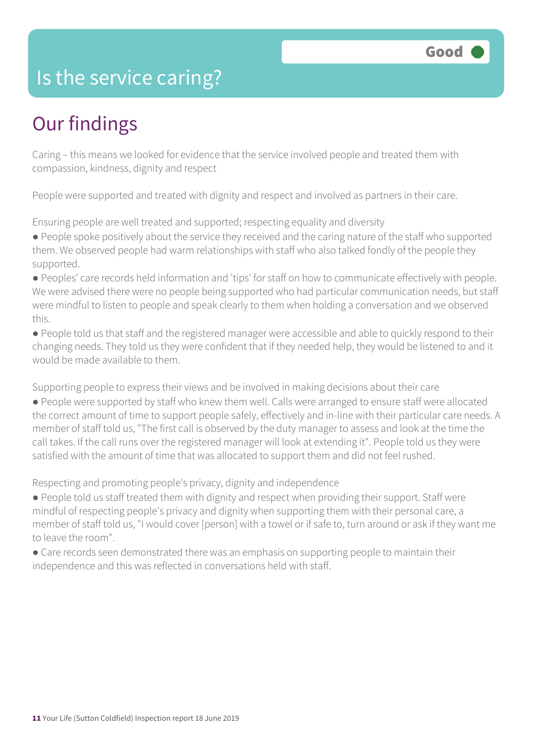### Is the service caring?

### Our findings

Caring – this means we looked for evidence that the service involved people and treated them with compassion, kindness, dignity and respect

People were supported and treated with dignity and respect and involved as partners in their care.

Ensuring people are well treated and supported; respecting equality and diversity

● People spoke positively about the service they received and the caring nature of the staff who supported them. We observed people had warm relationships with staff who also talked fondly of the people they supported.

● Peoples' care records held information and 'tips' for staff on how to communicate effectively with people. We were advised there were no people being supported who had particular communication needs, but staff were mindful to listen to people and speak clearly to them when holding a conversation and we observed this.

● People told us that staff and the registered manager were accessible and able to quickly respond to their changing needs. They told us they were confident that if they needed help, they would be listened to and it would be made available to them.

Supporting people to express their views and be involved in making decisions about their care

● People were supported by staff who knew them well. Calls were arranged to ensure staff were allocated the correct amount of time to support people safely, effectively and in-line with their particular care needs. A member of staff told us, "The first call is observed by the duty manager to assess and look at the time the call takes. If the call runs over the registered manager will look at extending it". People told us they were satisfied with the amount of time that was allocated to support them and did not feel rushed.

Respecting and promoting people's privacy, dignity and independence

● People told us staff treated them with dignity and respect when providing their support. Staff were mindful of respecting people's privacy and dignity when supporting them with their personal care, a member of staff told us, "I would cover [person] with a towel or if safe to, turn around or ask if they want me to leave the room".

• Care records seen demonstrated there was an emphasis on supporting people to maintain their independence and this was reflected in conversations held with staff.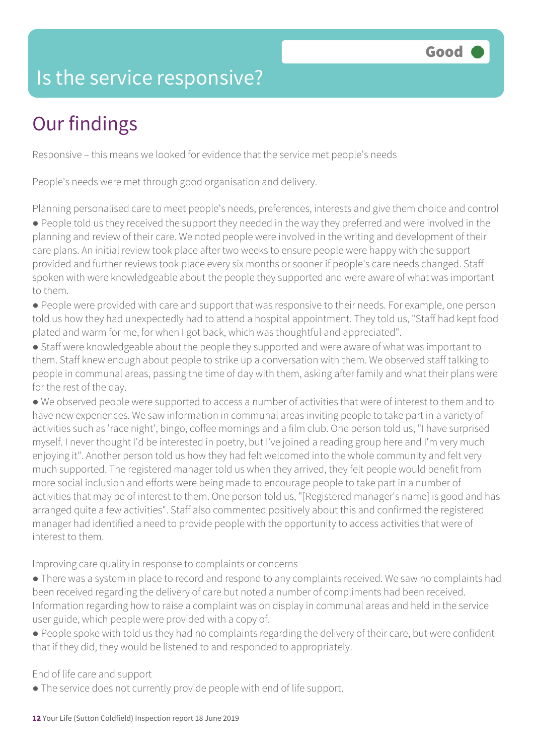### Is the service responsive?

### Our findings

Responsive – this means we looked for evidence that the service met people's needs

People's needs were met through good organisation and delivery.

Planning personalised care to meet people's needs, preferences, interests and give them choice and control

● People told us they received the support they needed in the way they preferred and were involved in the planning and review of their care. We noted people were involved in the writing and development of their care plans. An initial review took place after two weeks to ensure people were happy with the support provided and further reviews took place every six months or sooner if people's care needs changed. Staff spoken with were knowledgeable about the people they supported and were aware of what was important to them.

- People were provided with care and support that was responsive to their needs. For example, one person told us how they had unexpectedly had to attend a hospital appointment. They told us, "Staff had kept food plated and warm for me, for when I got back, which was thoughtful and appreciated".
- Staff were knowledgeable about the people they supported and were aware of what was important to them. Staff knew enough about people to strike up a conversation with them. We observed staff talking to people in communal areas, passing the time of day with them, asking after family and what their plans were for the rest of the day.
- We observed people were supported to access a number of activities that were of interest to them and to have new experiences. We saw information in communal areas inviting people to take part in a variety of activities such as 'race night', bingo, coffee mornings and a film club. One person told us, "I have surprised myself. I never thought I'd be interested in poetry, but I've joined a reading group here and I'm very much enjoying it". Another person told us how they had felt welcomed into the whole community and felt very much supported. The registered manager told us when they arrived, they felt people would benefit from more social inclusion and efforts were being made to encourage people to take part in a number of activities that may be of interest to them. One person told us, "[Registered manager's name] is good and has arranged quite a few activities". Staff also commented positively about this and confirmed the registered manager had identified a need to provide people with the opportunity to access activities that were of interest to them.

Improving care quality in response to complaints or concerns

- There was a system in place to record and respond to any complaints received. We saw no complaints had been received regarding the delivery of care but noted a number of compliments had been received. Information regarding how to raise a complaint was on display in communal areas and held in the service user guide, which people were provided with a copy of.
- People spoke with told us they had no complaints regarding the delivery of their care, but were confident that if they did, they would be listened to and responded to appropriately.

End of life care and support

● The service does not currently provide people with end of life support.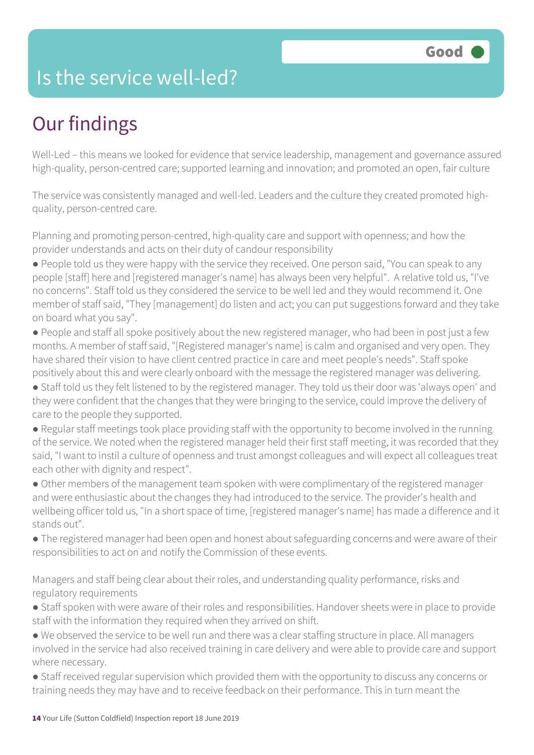### Is the service well-led?

### Our findings

Well-Led – this means we looked for evidence that service leadership, management and governance assured high-quality, person-centred care; supported learning and innovation; and promoted an open, fair culture

The service was consistently managed and well-led. Leaders and the culture they created promoted highquality, person-centred care.

Planning and promoting person-centred, high-quality care and support with openness; and how the provider understands and acts on their duty of candour responsibility

● People told us they were happy with the service they received. One person said, "You can speak to any people [staff] here and [registered manager's name] has always been very helpful". A relative told us, "I've no concerns". Staff told us they considered the service to be well led and they would recommend it. One member of staff said, "They [management] do listen and act; you can put suggestions forward and they take on board what you say".

● People and staff all spoke positively about the new registered manager, who had been in post just a few months. A member of staff said, "[Registered manager's name] is calm and organised and very open. They have shared their vision to have client centred practice in care and meet people's needs". Staff spoke positively about this and were clearly onboard with the message the registered manager was delivering.

● Staff told us they felt listened to by the registered manager. They told us their door was 'always open' and they were confident that the changes that they were bringing to the service, could improve the delivery of care to the people they supported.

● Regular staff meetings took place providing staff with the opportunity to become involved in the running of the service. We noted when the registered manager held their first staff meeting, it was recorded that they said, "I want to instil a culture of openness and trust amongst colleagues and will expect all colleagues treat each other with dignity and respect".

• Other members of the management team spoken with were complimentary of the registered manager and were enthusiastic about the changes they had introduced to the service. The provider's health and wellbeing officer told us, "In a short space of time, [registered manager's name] has made a difference and it stands out".

● The registered manager had been open and honest about safeguarding concerns and were aware of their responsibilities to act on and notify the Commission of these events.

Managers and staff being clear about their roles, and understanding quality performance, risks and regulatory requirements

- Staff spoken with were aware of their roles and responsibilities. Handover sheets were in place to provide staff with the information they required when they arrived on shift.
- We observed the service to be well run and there was a clear staffing structure in place. All managers involved in the service had also received training in care delivery and were able to provide care and support where necessary.
- Staff received regular supervision which provided them with the opportunity to discuss any concerns or training needs they may have and to receive feedback on their performance. This in turn meant the